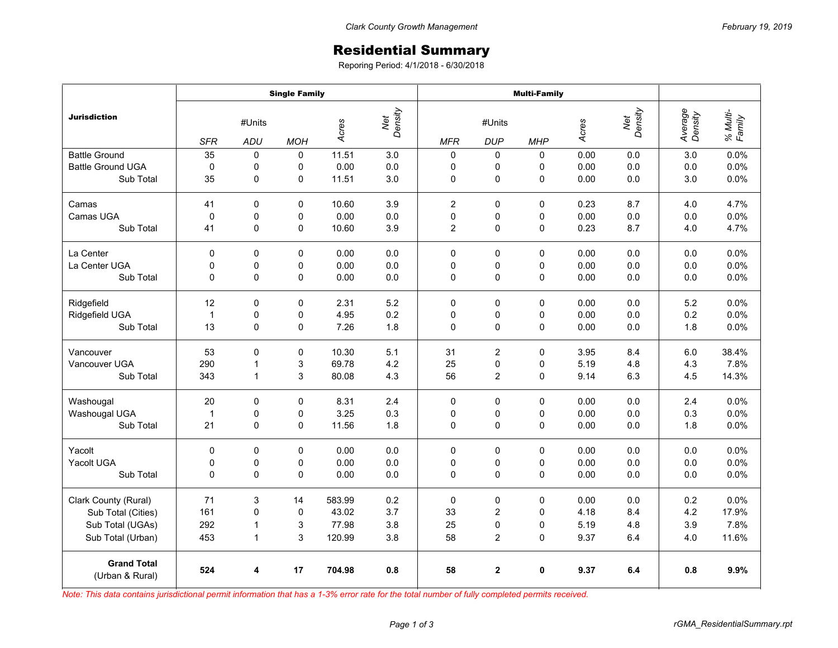## Residential Summary

Reporing Period: 4/1/2018 - 6/30/2018

|                                       | <b>Single Family</b> |             |             |                         |     | <b>Multi-Family</b> |                         |             |       |                |                    |                    |
|---------------------------------------|----------------------|-------------|-------------|-------------------------|-----|---------------------|-------------------------|-------------|-------|----------------|--------------------|--------------------|
| <b>Jurisdiction</b>                   | #Units               |             |             | Net<br>Density<br>Acres |     | #Units              |                         |             | Acres | Net<br>Density | Average<br>Density | % Multi-<br>Family |
|                                       | <b>SFR</b>           | ADU         | <b>MOH</b>  |                         |     | <b>MFR</b>          | <b>DUP</b>              | <b>MHP</b>  |       |                |                    |                    |
| <b>Battle Ground</b>                  | 35                   | $\mathbf 0$ | 0           | 11.51                   | 3.0 | 0                   | 0                       | $\Omega$    | 0.00  | 0.0            | 3.0                | 0.0%               |
| <b>Battle Ground UGA</b>              | $\pmb{0}$            | 0           | 0           | 0.00                    | 0.0 | 0                   | 0                       | 0           | 0.00  | 0.0            | 0.0                | 0.0%               |
| Sub Total                             | 35                   | 0           | 0           | 11.51                   | 3.0 | 0                   | 0                       | $\mathbf 0$ | 0.00  | 0.0            | 3.0                | 0.0%               |
| Camas                                 | 41                   | 0           | 0           | 10.60                   | 3.9 | $\overline{2}$      | 0                       | 0           | 0.23  | 8.7            | 4.0                | 4.7%               |
| Camas UGA                             | 0                    | 0           | 0           | 0.00                    | 0.0 | 0                   | 0                       | 0           | 0.00  | 0.0            | 0.0                | 0.0%               |
| Sub Total                             | 41                   | 0           | 0           | 10.60                   | 3.9 | $\overline{c}$      | $\mathbf 0$             | 0           | 0.23  | 8.7            | 4.0                | 4.7%               |
| La Center                             | 0                    | 0           | $\mathbf 0$ | 0.00                    | 0.0 | 0                   | $\mathbf 0$             | 0           | 0.00  | 0.0            | 0.0                | 0.0%               |
| La Center UGA                         | 0                    | 0           | 0           | 0.00                    | 0.0 | 0                   | 0                       | 0           | 0.00  | 0.0            | 0.0                | 0.0%               |
| Sub Total                             | 0                    | 0           | 0           | 0.00                    | 0.0 | 0                   | $\mathbf 0$             | 0           | 0.00  | 0.0            | 0.0                | 0.0%               |
| Ridgefield                            | 12                   | 0           | 0           | 2.31                    | 5.2 | 0                   | 0                       | 0           | 0.00  | 0.0            | 5.2                | 0.0%               |
| Ridgefield UGA                        | $\mathbf{1}$         | 0           | 0           | 4.95                    | 0.2 | $\mathbf 0$         | 0                       | 0           | 0.00  | 0.0            | 0.2                | 0.0%               |
| Sub Total                             | 13                   | 0           | 0           | 7.26                    | 1.8 | 0                   | 0                       | 0           | 0.00  | 0.0            | 1.8                | 0.0%               |
| Vancouver                             | 53                   | $\Omega$    | $\mathbf 0$ | 10.30                   | 5.1 | 31                  | $\overline{2}$          | 0           | 3.95  | 8.4            | 6.0                | 38.4%              |
| Vancouver UGA                         | 290                  | 1           | 3           | 69.78                   | 4.2 | 25                  | 0                       | 0           | 5.19  | 4.8            | 4.3                | 7.8%               |
| Sub Total                             | 343                  | 1           | 3           | 80.08                   | 4.3 | 56                  | $\overline{2}$          | 0           | 9.14  | 6.3            | 4.5                | 14.3%              |
| Washougal                             | 20                   | 0           | 0           | 8.31                    | 2.4 | 0                   | 0                       | 0           | 0.00  | 0.0            | 2.4                | 0.0%               |
| Washougal UGA                         | $\mathbf{1}$         | 0           | 0           | 3.25                    | 0.3 | 0                   | 0                       | 0           | 0.00  | 0.0            | 0.3                | 0.0%               |
| Sub Total                             | 21                   | 0           | 0           | 11.56                   | 1.8 | 0                   | 0                       | 0           | 0.00  | 0.0            | 1.8                | 0.0%               |
| Yacolt                                | 0                    | 0           | $\Omega$    | 0.00                    | 0.0 | 0                   | 0                       | $\Omega$    | 0.00  | 0.0            | 0.0                | 0.0%               |
| Yacolt UGA                            | 0                    | 0           | 0           | 0.00                    | 0.0 | 0                   | 0                       | 0           | 0.00  | 0.0            | 0.0                | 0.0%               |
| Sub Total                             | 0                    | $\mathbf 0$ | 0           | 0.00                    | 0.0 | $\mathbf 0$         | $\mathbf 0$             | 0           | 0.00  | 0.0            | 0.0                | 0.0%               |
| Clark County (Rural)                  | 71                   | 3           | 14          | 583.99                  | 0.2 | 0                   | $\pmb{0}$               | 0           | 0.00  | 0.0            | 0.2                | 0.0%               |
| Sub Total (Cities)                    | 161                  | $\mathbf 0$ | $\mathbf 0$ | 43.02                   | 3.7 | 33                  | 2                       | 0           | 4.18  | 8.4            | 4.2                | 17.9%              |
| Sub Total (UGAs)                      | 292                  | 1           | 3           | 77.98                   | 3.8 | 25                  | 0                       | 0           | 5.19  | 4.8            | 3.9                | 7.8%               |
| Sub Total (Urban)                     | 453                  | 1           | 3           | 120.99                  | 3.8 | 58                  | $\overline{\mathbf{c}}$ | 0           | 9.37  | 6.4            | 4.0                | 11.6%              |
| <b>Grand Total</b><br>(Urban & Rural) | 524                  | 4           | 17          | 704.98                  | 0.8 | 58                  | $\overline{2}$          | 0           | 9.37  | 6.4            | 0.8                | 9.9%               |

*Note: This data contains jurisdictional permit information that has a 1-3% error rate for the total number of fully completed permits received.*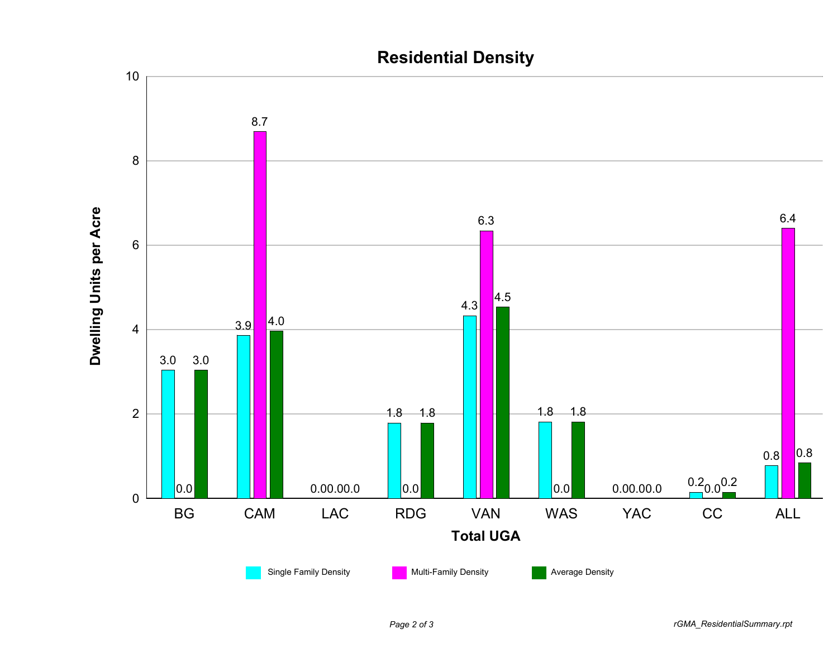## **Residential Density**